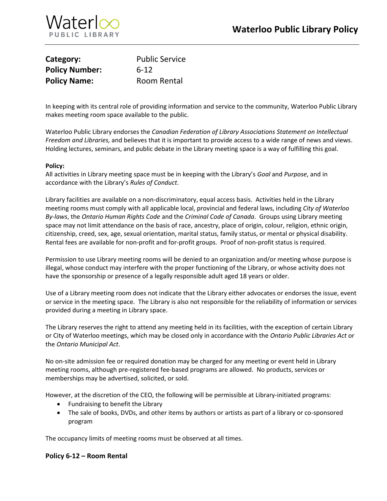

| Category:             | <b>Public Service</b> |
|-----------------------|-----------------------|
| <b>Policy Number:</b> | $6 - 12$              |
| <b>Policy Name:</b>   | Room Rental           |

In keeping with its central role of providing information and service to the community, Waterloo Public Library makes meeting room space available to the public.

Waterloo Public Library endorses the *Canadian Federation of Library Associations Statement on Intellectual Freedom and Libraries,* and believes that it is important to provide access to a wide range of news and views. Holding lectures, seminars, and public debate in the Library meeting space is a way of fulfilling this goal.

#### **Policy:**

All activities in Library meeting space must be in keeping with the Library's *Goal* and *Purpose*, and in accordance with the Library's *Rules of Conduct*.

Library facilities are available on a non-discriminatory, equal access basis. Activities held in the Library meeting rooms must comply with all applicable local, provincial and federal laws, including *City of Waterloo By-laws*, the *Ontario Human Rights Code* and the *Criminal Code of Canada*. Groups using Library meeting space may not limit attendance on the basis of race, ancestry, place of origin, colour, religion, ethnic origin, citizenship, creed, sex, age, sexual orientation, marital status, family status, or mental or physical disability. Rental fees are available for non-profit and for-profit groups. Proof of non-profit status is required.

Permission to use Library meeting rooms will be denied to an organization and/or meeting whose purpose is illegal, whose conduct may interfere with the proper functioning of the Library, or whose activity does not have the sponsorship or presence of a legally responsible adult aged 18 years or older.

Use of a Library meeting room does not indicate that the Library either advocates or endorses the issue, event or service in the meeting space. The Library is also not responsible for the reliability of information or services provided during a meeting in Library space.

The Library reserves the right to attend any meeting held in its facilities, with the exception of certain Library or City of Waterloo meetings, which may be closed only in accordance with the *Ontario Public Libraries Act* or the *Ontario Municipal Act*.

No on-site admission fee or required donation may be charged for any meeting or event held in Library meeting rooms, although pre-registered fee-based programs are allowed. No products, services or memberships may be advertised, solicited, or sold.

However, at the discretion of the CEO, the following will be permissible at Library-initiated programs:

- Fundraising to benefit the Library
- The sale of books, DVDs, and other items by authors or artists as part of a library or co-sponsored program

The occupancy limits of meeting rooms must be observed at all times.

### **Policy 6-12 – Room Rental**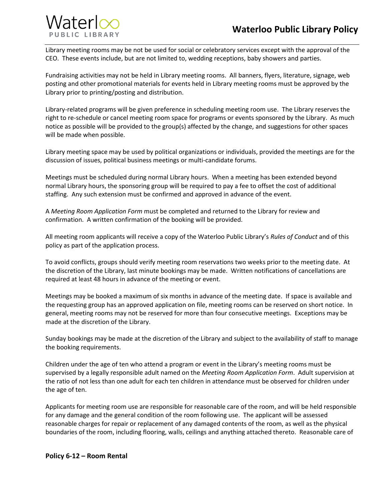## **Waterloo Public Library Policy**



Library meeting rooms may be not be used for social or celebratory services except with the approval of the CEO. These events include, but are not limited to, wedding receptions, baby showers and parties.

Fundraising activities may not be held in Library meeting rooms. All banners, flyers, literature, signage, web posting and other promotional materials for events held in Library meeting rooms must be approved by the Library prior to printing/posting and distribution.

Library-related programs will be given preference in scheduling meeting room use. The Library reserves the right to re-schedule or cancel meeting room space for programs or events sponsored by the Library. As much notice as possible will be provided to the group(s) affected by the change, and suggestions for other spaces will be made when possible.

Library meeting space may be used by political organizations or individuals, provided the meetings are for the discussion of issues, political business meetings or multi-candidate forums.

Meetings must be scheduled during normal Library hours. When a meeting has been extended beyond normal Library hours, the sponsoring group will be required to pay a fee to offset the cost of additional staffing. Any such extension must be confirmed and approved in advance of the event.

A *Meeting Room Application Form* must be completed and returned to the Library for review and confirmation. A written confirmation of the booking will be provided.

All meeting room applicants will receive a copy of the Waterloo Public Library's *Rules of Conduct* and of this policy as part of the application process.

To avoid conflicts, groups should verify meeting room reservations two weeks prior to the meeting date. At the discretion of the Library, last minute bookings may be made. Written notifications of cancellations are required at least 48 hours in advance of the meeting or event.

Meetings may be booked a maximum of six months in advance of the meeting date. If space is available and the requesting group has an approved application on file, meeting rooms can be reserved on short notice. In general, meeting rooms may not be reserved for more than four consecutive meetings. Exceptions may be made at the discretion of the Library.

Sunday bookings may be made at the discretion of the Library and subject to the availability of staff to manage the booking requirements.

Children under the age of ten who attend a program or event in the Library's meeting rooms must be supervised by a legally responsible adult named on the *Meeting Room Application Form*. Adult supervision at the ratio of not less than one adult for each ten children in attendance must be observed for children under the age of ten.

Applicants for meeting room use are responsible for reasonable care of the room, and will be held responsible for any damage and the general condition of the room following use. The applicant will be assessed reasonable charges for repair or replacement of any damaged contents of the room, as well as the physical boundaries of the room, including flooring, walls, ceilings and anything attached thereto. Reasonable care of

### **Policy 6-12 – Room Rental**